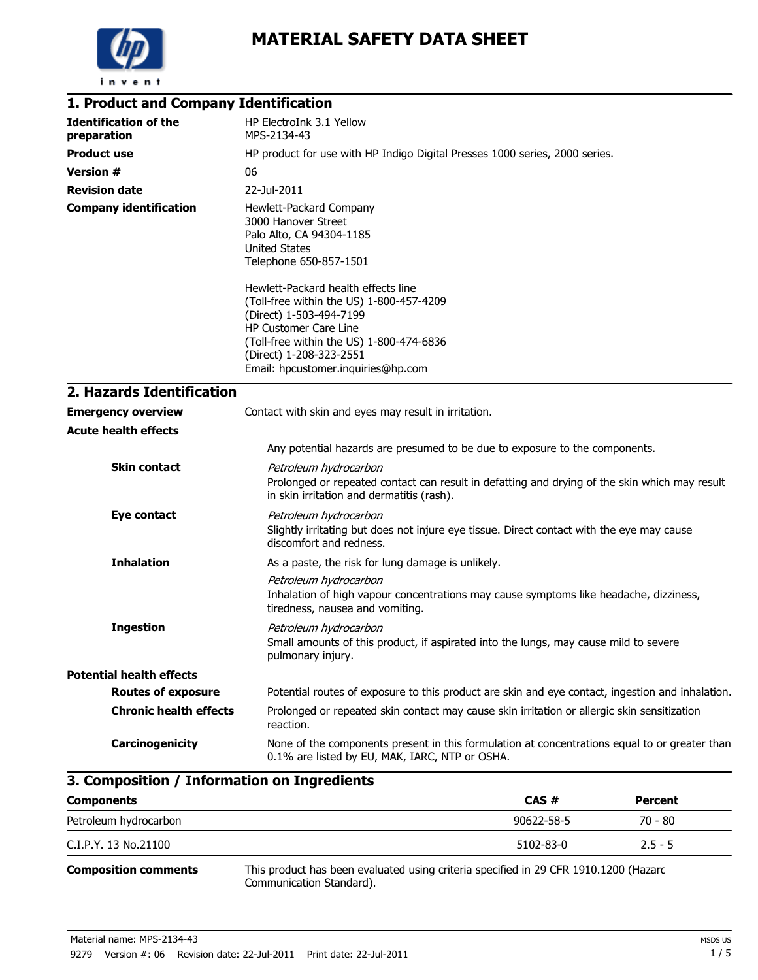

| 1. Product and Company Identification       |                                                                                                                                                                                                                                                  |
|---------------------------------------------|--------------------------------------------------------------------------------------------------------------------------------------------------------------------------------------------------------------------------------------------------|
| <b>Identification of the</b><br>preparation | HP ElectroInk 3.1 Yellow<br>MPS-2134-43                                                                                                                                                                                                          |
| <b>Product use</b>                          | HP product for use with HP Indigo Digital Presses 1000 series, 2000 series.                                                                                                                                                                      |
| <b>Version #</b>                            | 06                                                                                                                                                                                                                                               |
| <b>Revision date</b>                        | 22-Jul-2011                                                                                                                                                                                                                                      |
| <b>Company identification</b>               | Hewlett-Packard Company<br>3000 Hanover Street<br>Palo Alto, CA 94304-1185<br><b>United States</b><br>Telephone 650-857-1501                                                                                                                     |
|                                             | Hewlett-Packard health effects line<br>(Toll-free within the US) 1-800-457-4209<br>(Direct) 1-503-494-7199<br>HP Customer Care Line<br>(Toll-free within the US) 1-800-474-6836<br>(Direct) 1-208-323-2551<br>Email: hpcustomer.inquiries@hp.com |
| 2. Hazards Identification                   |                                                                                                                                                                                                                                                  |
| <b>Emergency overview</b>                   | Contact with skin and eyes may result in irritation.                                                                                                                                                                                             |
| <b>Acute health effects</b>                 |                                                                                                                                                                                                                                                  |
|                                             | Any potential hazards are presumed to be due to exposure to the components.                                                                                                                                                                      |
| <b>Skin contact</b>                         | Petroleum hydrocarbon<br>Prolonged or repeated contact can result in defatting and drying of the skin which may result<br>in skin irritation and dermatitis (rash).                                                                              |
| Eye contact                                 | Petroleum hydrocarbon<br>Slightly irritating but does not injure eye tissue. Direct contact with the eye may cause<br>discomfort and redness.                                                                                                    |
| <b>Inhalation</b>                           | As a paste, the risk for lung damage is unlikely.                                                                                                                                                                                                |
|                                             | Petroleum hydrocarbon<br>Inhalation of high vapour concentrations may cause symptoms like headache, dizziness,<br>tiredness, nausea and vomiting.                                                                                                |
| <b>Ingestion</b>                            | Petroleum hydrocarbon<br>Small amounts of this product, if aspirated into the lungs, may cause mild to severe<br>pulmonary injury.                                                                                                               |
| <b>Potential health effects</b>             |                                                                                                                                                                                                                                                  |
| <b>Routes of exposure</b>                   | Potential routes of exposure to this product are skin and eye contact, ingestion and inhalation.                                                                                                                                                 |
| <b>Chronic health effects</b>               | Prolonged or repeated skin contact may cause skin irritation or allergic skin sensitization<br>reaction.                                                                                                                                         |
| Carcinogenicity                             | None of the components present in this formulation at concentrations equal to or greater than<br>0.1% are listed by EU, MAK, IARC, NTP or OSHA.                                                                                                  |

| 3. Composition / Information on Ingredients |                                                                                                                  |                 |                |
|---------------------------------------------|------------------------------------------------------------------------------------------------------------------|-----------------|----------------|
| <b>Components</b>                           |                                                                                                                  | CAS#            | <b>Percent</b> |
| Petroleum hydrocarbon                       |                                                                                                                  | 90622-58-5      | 70 - 80        |
| C.I.P.Y. 13 No.21100                        |                                                                                                                  | $5102 - 83 - 0$ | $2.5 - 5$      |
| <b>Composition comments</b>                 | This product has been evaluated using criteria specified in 29 CFR 1910.1200 (Hazard<br>Communication Standard). |                 |                |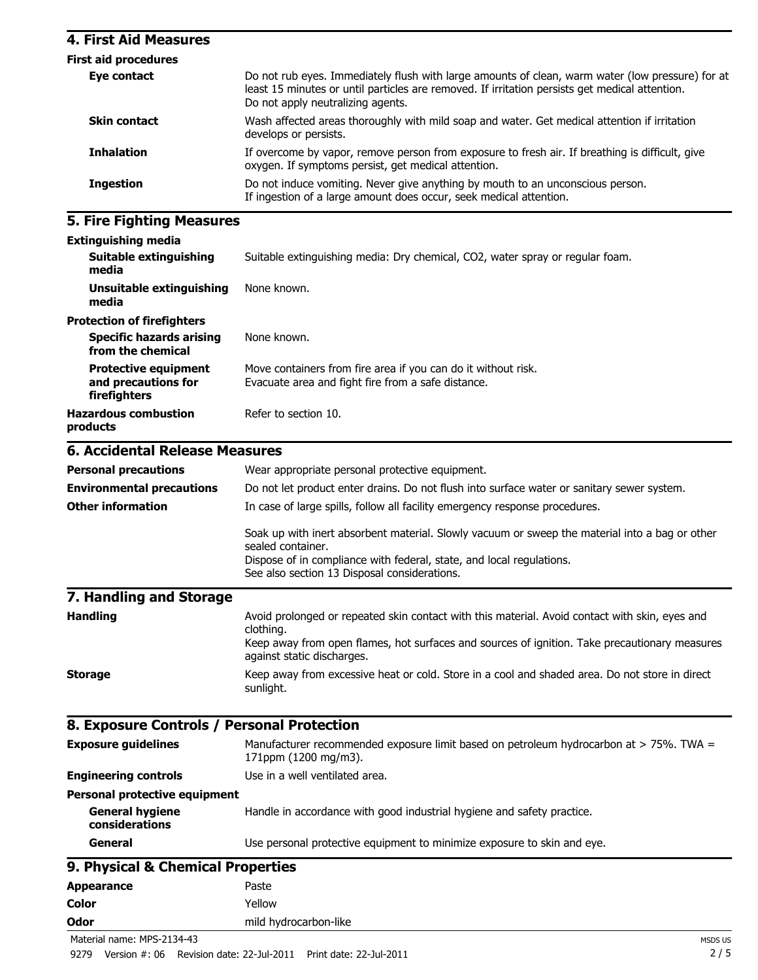## **4. First Aid Measures**

| <b>First aid procedures</b> |                                                                                                                                                                                                                                         |
|-----------------------------|-----------------------------------------------------------------------------------------------------------------------------------------------------------------------------------------------------------------------------------------|
| Eye contact                 | Do not rub eyes. Immediately flush with large amounts of clean, warm water (low pressure) for at<br>least 15 minutes or until particles are removed. If irritation persists get medical attention.<br>Do not apply neutralizing agents. |
| <b>Skin contact</b>         | Wash affected areas thoroughly with mild soap and water. Get medical attention if irritation<br>develops or persists.                                                                                                                   |
| <b>Inhalation</b>           | If overcome by vapor, remove person from exposure to fresh air. If breathing is difficult, give<br>oxygen. If symptoms persist, get medical attention.                                                                                  |
| <b>Ingestion</b>            | Do not induce vomiting. Never give anything by mouth to an unconscious person.<br>If ingestion of a large amount does occur, seek medical attention.                                                                                    |

# **5. Fire Fighting Measures**

| <b>Extinguishing media</b> |  |
|----------------------------|--|
|----------------------------|--|

| <b>LAGINGUISHING HIGUIG</b>                                        |                                                                                                                     |
|--------------------------------------------------------------------|---------------------------------------------------------------------------------------------------------------------|
| Suitable extinguishing<br>media                                    | Suitable extinguishing media: Dry chemical, CO2, water spray or regular foam.                                       |
| Unsuitable extinguishing<br>media                                  | None known.                                                                                                         |
| <b>Protection of firefighters</b>                                  |                                                                                                                     |
| <b>Specific hazards arising</b><br>from the chemical               | None known.                                                                                                         |
| <b>Protective equipment</b><br>and precautions for<br>firefighters | Move containers from fire area if you can do it without risk.<br>Evacuate area and fight fire from a safe distance. |
| <b>Hazardous combustion</b><br>products                            | Refer to section 10.                                                                                                |
| <b>6. Accidental Release Measures</b>                              |                                                                                                                     |
| <b>Personal precautions</b>                                        | Wear appropriate personal protective equipment.                                                                     |
| Fordus constata la costruita de la                                 | De met het noordoet enter doelne. De met floch late eorde een onten en een liens eeuwe en eter                      |

| <b>Environmental precautions</b> | Do not let product enter drains. Do not flush into surface water or sanitary sewer system.                                                                                                                                                  |  |
|----------------------------------|---------------------------------------------------------------------------------------------------------------------------------------------------------------------------------------------------------------------------------------------|--|
| <b>Other information</b>         | In case of large spills, follow all facility emergency response procedures.                                                                                                                                                                 |  |
|                                  | Soak up with inert absorbent material. Slowly vacuum or sweep the material into a bag or other<br>sealed container.<br>Dispose of in compliance with federal, state, and local regulations.<br>See also section 13 Disposal considerations. |  |
| 7. Handling and Storage          |                                                                                                                                                                                                                                             |  |
| <b>Handling</b>                  | Avoid prolonged or repeated skin contact with this material. Avoid contact with skin, eyes and<br>clothing.<br>Keep away from open flames, hot surfaces and sources of ignition. Take precautionary measures                                |  |

|         | Reep away from open flames, not surfaces and sources of ignition. Take precautionary measures<br>against static discharges. |
|---------|-----------------------------------------------------------------------------------------------------------------------------|
| Storage | Keep away from excessive heat or cold. Store in a cool and shaded area. Do not store in direct<br>sunlight.                 |

# **8. Exposure Controls / Personal Protection**

| <b>Exposure guidelines</b>               | Manufacturer recommended exposure limit based on petroleum hydrocarbon at > 75%. TWA =<br>171ppm (1200 mg/m3). |
|------------------------------------------|----------------------------------------------------------------------------------------------------------------|
| <b>Engineering controls</b>              | Use in a well ventilated area.                                                                                 |
| <b>Personal protective equipment</b>     |                                                                                                                |
| <b>General hygiene</b><br>considerations | Handle in accordance with good industrial hygiene and safety practice.                                         |
| General                                  | Use personal protective equipment to minimize exposure to skin and eye.                                        |
| 9. Physical & Chemical Properties        |                                                                                                                |

Appearance **Paste Color** Yellow

**Odor** mild hydrocarbon-like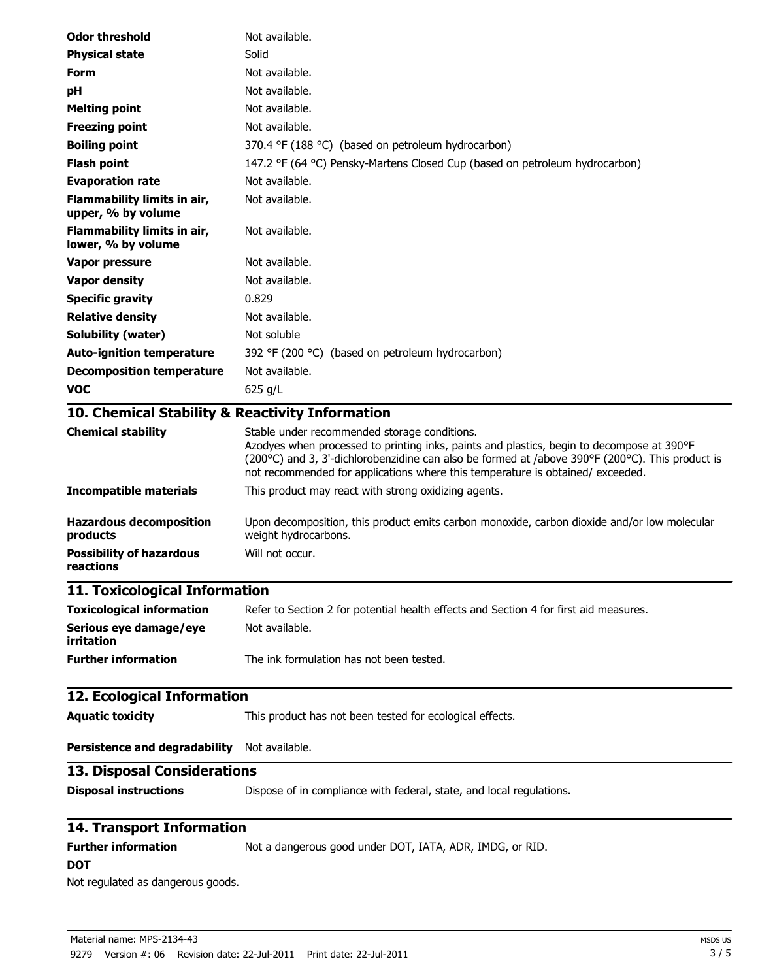| <b>Odor threshold</b>                             | Not available.                                                                                                                                                                                                                                                                                                                |
|---------------------------------------------------|-------------------------------------------------------------------------------------------------------------------------------------------------------------------------------------------------------------------------------------------------------------------------------------------------------------------------------|
| <b>Physical state</b>                             | Solid                                                                                                                                                                                                                                                                                                                         |
| <b>Form</b>                                       | Not available.                                                                                                                                                                                                                                                                                                                |
| рH                                                | Not available.                                                                                                                                                                                                                                                                                                                |
| <b>Melting point</b>                              | Not available.                                                                                                                                                                                                                                                                                                                |
| <b>Freezing point</b>                             | Not available.                                                                                                                                                                                                                                                                                                                |
| <b>Boiling point</b>                              | 370.4 °F (188 °C) (based on petroleum hydrocarbon)                                                                                                                                                                                                                                                                            |
| <b>Flash point</b>                                | 147.2 °F (64 °C) Pensky-Martens Closed Cup (based on petroleum hydrocarbon)                                                                                                                                                                                                                                                   |
| <b>Evaporation rate</b>                           | Not available.                                                                                                                                                                                                                                                                                                                |
| Flammability limits in air,<br>upper, % by volume | Not available.                                                                                                                                                                                                                                                                                                                |
| Flammability limits in air,<br>lower, % by volume | Not available.                                                                                                                                                                                                                                                                                                                |
| Vapor pressure                                    | Not available.                                                                                                                                                                                                                                                                                                                |
| <b>Vapor density</b>                              | Not available.                                                                                                                                                                                                                                                                                                                |
| <b>Specific gravity</b>                           | 0.829                                                                                                                                                                                                                                                                                                                         |
| <b>Relative density</b>                           | Not available.                                                                                                                                                                                                                                                                                                                |
| Solubility (water)                                | Not soluble                                                                                                                                                                                                                                                                                                                   |
| <b>Auto-ignition temperature</b>                  | 392 °F (200 °C) (based on petroleum hydrocarbon)                                                                                                                                                                                                                                                                              |
| <b>Decomposition temperature</b>                  | Not available.                                                                                                                                                                                                                                                                                                                |
| <b>VOC</b>                                        | 625 g/L                                                                                                                                                                                                                                                                                                                       |
| 10. Chemical Stability & Reactivity Information   |                                                                                                                                                                                                                                                                                                                               |
| <b>Chemical stability</b>                         | Stable under recommended storage conditions.<br>Azodyes when processed to printing inks, paints and plastics, begin to decompose at 390°F<br>(200°C) and 3, 3'-dichlorobenzidine can also be formed at /above 390°F (200°C). This product is<br>not recommended for applications where this temperature is obtained/exceeded. |
| <b>Incompatible materials</b>                     | This product may react with strong oxidizing agents.                                                                                                                                                                                                                                                                          |
| <b>Hazardous decomposition</b><br>products        | Upon decomposition, this product emits carbon monoxide, carbon dioxide and/or low molecular<br>weight hydrocarbons.                                                                                                                                                                                                           |
| <b>Possibility of hazardous</b><br>reactions      | Will not occur.                                                                                                                                                                                                                                                                                                               |
| 11. Toxicological Information                     |                                                                                                                                                                                                                                                                                                                               |
| <b>Toxicological information</b>                  | Refer to Section 2 for potential health effects and Section 4 for first aid measures.                                                                                                                                                                                                                                         |
| Serious eye damage/eye<br>irritation              | Not available.                                                                                                                                                                                                                                                                                                                |
| <b>Further information</b>                        | The ink formulation has not been tested.                                                                                                                                                                                                                                                                                      |
| 12. Ecological Information                        |                                                                                                                                                                                                                                                                                                                               |
| <b>Aquatic toxicity</b>                           | This product has not been tested for ecological effects.                                                                                                                                                                                                                                                                      |
| <b>Persistence and degradability</b>              | Not available.                                                                                                                                                                                                                                                                                                                |
| <b>13. Disposal Considerations</b>                |                                                                                                                                                                                                                                                                                                                               |
| <b>Disposal instructions</b>                      | Dispose of in compliance with federal, state, and local regulations.                                                                                                                                                                                                                                                          |
| 14. Transport Information                         |                                                                                                                                                                                                                                                                                                                               |
| <b>Further information</b><br><b>DOT</b>          | Not a dangerous good under DOT, IATA, ADR, IMDG, or RID.                                                                                                                                                                                                                                                                      |
| Not regulated as dangerous goods.                 |                                                                                                                                                                                                                                                                                                                               |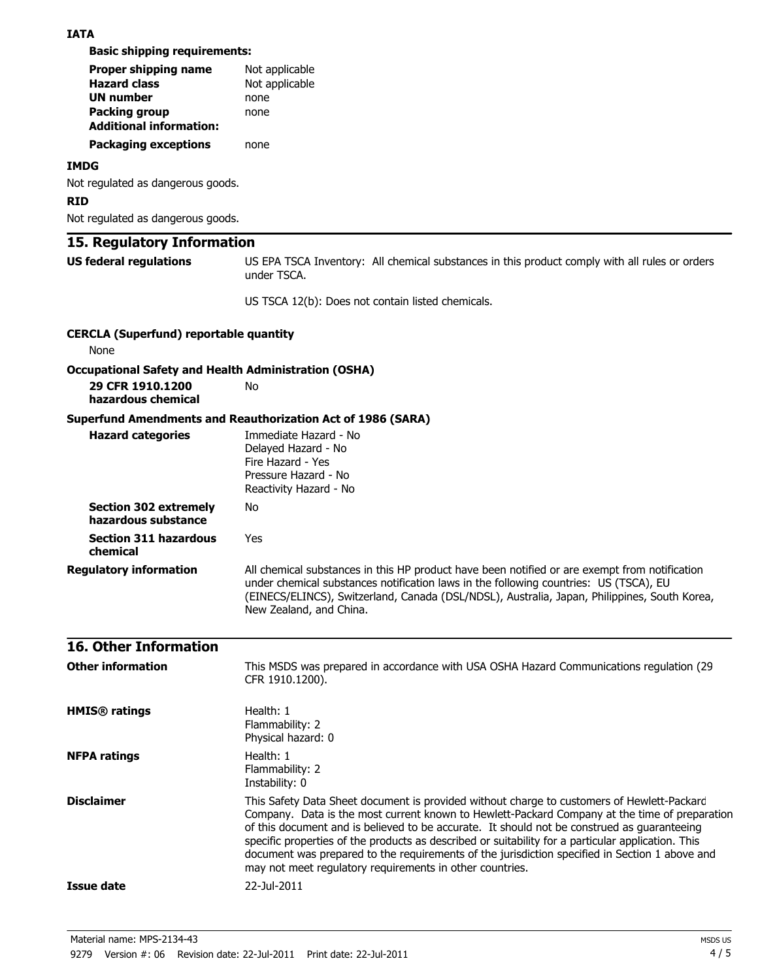#### **IATA**

**Basic shipping requirements:**

| Proper shipping name           | Not applicable |
|--------------------------------|----------------|
| <b>Hazard class</b>            | Not applicable |
| <b>UN number</b>               | none           |
| <b>Packing group</b>           | none           |
| <b>Additional information:</b> |                |
| <b>Packaging exceptions</b>    | none           |

#### **IMDG**

Not regulated as dangerous goods.

### **RID**

Not regulated as dangerous goods.

## **15. Regulatory Information**

**US federal regulations** US EPA TSCA Inventory: All chemical substances in this product comply with all rules or orders under TSCA.

US TSCA 12(b): Does not contain listed chemicals.

| <b>CERCLA (Superfund) reportable quantity</b><br>None                                                 |                                                                                                                                                                                                                                                                                                                                                                                                                                                                                                                                                                |
|-------------------------------------------------------------------------------------------------------|----------------------------------------------------------------------------------------------------------------------------------------------------------------------------------------------------------------------------------------------------------------------------------------------------------------------------------------------------------------------------------------------------------------------------------------------------------------------------------------------------------------------------------------------------------------|
|                                                                                                       |                                                                                                                                                                                                                                                                                                                                                                                                                                                                                                                                                                |
| <b>Occupational Safety and Health Administration (OSHA)</b><br>29 CFR 1910.1200<br>hazardous chemical | No                                                                                                                                                                                                                                                                                                                                                                                                                                                                                                                                                             |
|                                                                                                       | <b>Superfund Amendments and Reauthorization Act of 1986 (SARA)</b>                                                                                                                                                                                                                                                                                                                                                                                                                                                                                             |
| <b>Hazard categories</b>                                                                              | Immediate Hazard - No<br>Delayed Hazard - No<br>Fire Hazard - Yes<br>Pressure Hazard - No<br>Reactivity Hazard - No                                                                                                                                                                                                                                                                                                                                                                                                                                            |
| <b>Section 302 extremely</b><br>hazardous substance                                                   | No                                                                                                                                                                                                                                                                                                                                                                                                                                                                                                                                                             |
| <b>Section 311 hazardous</b><br>chemical                                                              | Yes                                                                                                                                                                                                                                                                                                                                                                                                                                                                                                                                                            |
| <b>Regulatory information</b>                                                                         | All chemical substances in this HP product have been notified or are exempt from notification<br>under chemical substances notification laws in the following countries: US (TSCA), EU<br>(EINECS/ELINCS), Switzerland, Canada (DSL/NDSL), Australia, Japan, Philippines, South Korea,<br>New Zealand, and China.                                                                                                                                                                                                                                              |
| <b>16. Other Information</b>                                                                          |                                                                                                                                                                                                                                                                                                                                                                                                                                                                                                                                                                |
| <b>Other information</b>                                                                              | This MSDS was prepared in accordance with USA OSHA Hazard Communications regulation (29<br>CFR 1910.1200).                                                                                                                                                                                                                                                                                                                                                                                                                                                     |
| <b>HMIS®</b> ratings                                                                                  | Health: 1<br>Flammability: 2<br>Physical hazard: 0                                                                                                                                                                                                                                                                                                                                                                                                                                                                                                             |
| <b>NFPA ratings</b>                                                                                   | Health: 1<br>Flammability: 2<br>Instability: 0                                                                                                                                                                                                                                                                                                                                                                                                                                                                                                                 |
| <b>Disclaimer</b>                                                                                     | This Safety Data Sheet document is provided without charge to customers of Hewlett-Packard<br>Company. Data is the most current known to Hewlett-Packard Company at the time of preparation<br>of this document and is believed to be accurate. It should not be construed as guaranteeing<br>specific properties of the products as described or suitability for a particular application. This<br>document was prepared to the requirements of the jurisdiction specified in Section 1 above and<br>may not meet regulatory requirements in other countries. |
| Issue date                                                                                            | 22-Jul-2011                                                                                                                                                                                                                                                                                                                                                                                                                                                                                                                                                    |